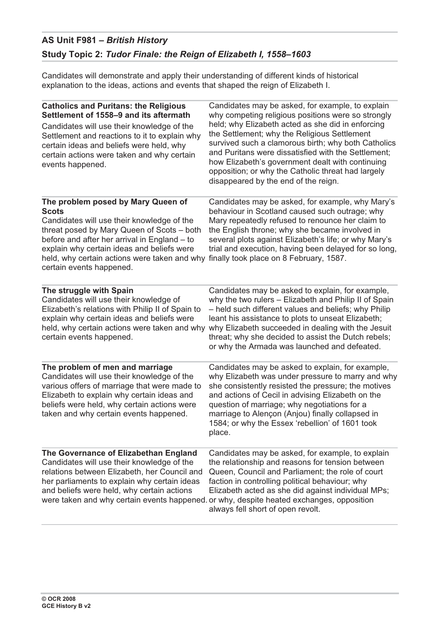## **AS Unit F981 –** *British History* **Study Topic 2:** *Tudor Finale: the Reign of Elizabeth I, 1558–1603*

Candidates will demonstrate and apply their understanding of different kinds of historical explanation to the ideas, actions and events that shaped the reign of Elizabeth I.

| <b>Catholics and Puritans: the Religious</b><br>Settlement of 1558-9 and its aftermath                                                                                                                                                                                                                                   | Candidates may be asked, for example, to explain<br>why competing religious positions were so strongly                                                                                                                                                                                                                                                                                             |
|--------------------------------------------------------------------------------------------------------------------------------------------------------------------------------------------------------------------------------------------------------------------------------------------------------------------------|----------------------------------------------------------------------------------------------------------------------------------------------------------------------------------------------------------------------------------------------------------------------------------------------------------------------------------------------------------------------------------------------------|
| Candidates will use their knowledge of the<br>Settlement and reactions to it to explain why<br>certain ideas and beliefs were held, why<br>certain actions were taken and why certain<br>events happened.                                                                                                                | held; why Elizabeth acted as she did in enforcing<br>the Settlement; why the Religious Settlement<br>survived such a clamorous birth; why both Catholics<br>and Puritans were dissatisfied with the Settlement;<br>how Elizabeth's government dealt with continuing<br>opposition; or why the Catholic threat had largely<br>disappeared by the end of the reign.                                  |
| The problem posed by Mary Queen of<br><b>Scots</b><br>Candidates will use their knowledge of the<br>threat posed by Mary Queen of Scots - both<br>before and after her arrival in England - to<br>explain why certain ideas and beliefs were<br>held, why certain actions were taken and why<br>certain events happened. | Candidates may be asked, for example, why Mary's<br>behaviour in Scotland caused such outrage; why<br>Mary repeatedly refused to renounce her claim to<br>the English throne; why she became involved in<br>several plots against Elizabeth's life; or why Mary's<br>trial and execution, having been delayed for so long,<br>finally took place on 8 February, 1587.                              |
| The struggle with Spain<br>Candidates will use their knowledge of<br>Elizabeth's relations with Philip II of Spain to<br>explain why certain ideas and beliefs were<br>held, why certain actions were taken and why<br>certain events happened.                                                                          | Candidates may be asked to explain, for example,<br>why the two rulers - Elizabeth and Philip II of Spain<br>- held such different values and beliefs; why Philip<br>leant his assistance to plots to unseat Elizabeth;<br>why Elizabeth succeeded in dealing with the Jesuit<br>threat; why she decided to assist the Dutch rebels;<br>or why the Armada was launched and defeated.               |
| The problem of men and marriage<br>Candidates will use their knowledge of the<br>various offers of marriage that were made to<br>Elizabeth to explain why certain ideas and<br>beliefs were held, why certain actions were<br>taken and why certain events happened.                                                     | Candidates may be asked to explain, for example,<br>why Elizabeth was under pressure to marry and why<br>she consistently resisted the pressure; the motives<br>and actions of Cecil in advising Elizabeth on the<br>question of marriage; why negotiations for a<br>marriage to Alençon (Anjou) finally collapsed in<br>1584; or why the Essex 'rebellion' of 1601 took<br>place.                 |
| The Governance of Elizabethan England<br>Candidates will use their knowledge of the<br>relations between Elizabeth, her Council and<br>her parliaments to explain why certain ideas<br>and beliefs were held, why certain actions                                                                                        | Candidates may be asked, for example, to explain<br>the relationship and reasons for tension between<br>Queen, Council and Parliament; the role of court<br>faction in controlling political behaviour; why<br>Elizabeth acted as she did against individual MPs;<br>were taken and why certain events happened. or why, despite heated exchanges, opposition<br>always fell short of open revolt. |